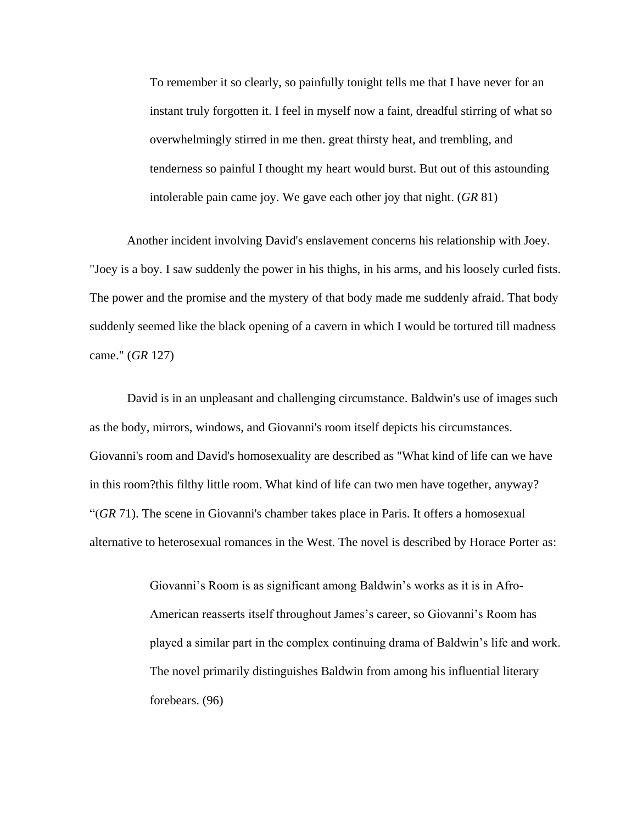To remember it so clearly, so painfully tonight tells me that I have never for an instant truly forgotten it. I feel in myself now a faint, dreadful stirring of what so overwhelmingly stirred in me then. great thirsty heat, and trembling, and tenderness so painful I thought my heart would burst. But out of this astounding intolerable pain came joy. We gave each other joy that night. (*GR* 81)

Another incident involving David's enslavement concerns his relationship with Joey. "Joey is a boy. I saw suddenly the power in his thighs, in his arms, and his loosely curled fists. The power and the promise and the mystery of that body made me suddenly afraid. That body suddenly seemed like the black opening of a cavern in which I would be tortured till madness came." (*GR* 127)

David is in an unpleasant and challenging circumstance. Baldwin's use of images such as the body, mirrors, windows, and Giovanni's room itself depicts his circumstances. Giovanni's room and David's homosexuality are described as "What kind of life can we have in this room?this filthy little room. What kind of life can two men have together, anyway? "(*GR* 71). The scene in Giovanni's chamber takes place in Paris. It offers a homosexual alternative to heterosexual romances in the West. The novel is described by Horace Porter as:

> Giovanni's Room is as significant among Baldwin's works as it is in Afro-American reasserts itself throughout James's career, so Giovanni's Room has played a similar part in the complex continuing drama of Baldwin's life and work. The novel primarily distinguishes Baldwin from among his influential literary forebears. (96)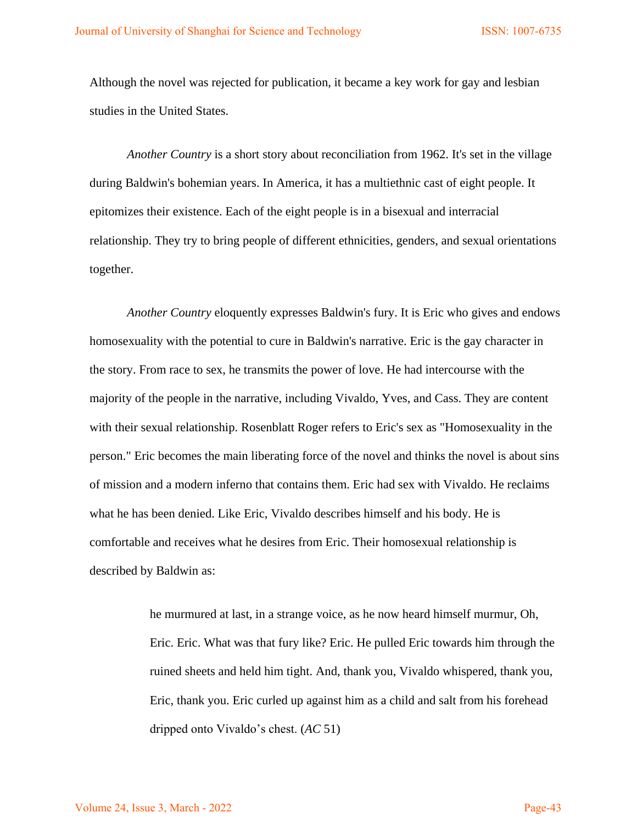Although the novel was rejected for publication, it became a key work for gay and lesbian studies in the United States.

*Another Country* is a short story about reconciliation from 1962. It's set in the village during Baldwin's bohemian years. In America, it has a multiethnic cast of eight people. It epitomizes their existence. Each of the eight people is in a bisexual and interracial relationship. They try to bring people of different ethnicities, genders, and sexual orientations together.

*Another Country* eloquently expresses Baldwin's fury. It is Eric who gives and endows homosexuality with the potential to cure in Baldwin's narrative. Eric is the gay character in the story. From race to sex, he transmits the power of love. He had intercourse with the majority of the people in the narrative, including Vivaldo, Yves, and Cass. They are content with their sexual relationship. Rosenblatt Roger refers to Eric's sex as "Homosexuality in the person." Eric becomes the main liberating force of the novel and thinks the novel is about sins of mission and a modern inferno that contains them. Eric had sex with Vivaldo. He reclaims what he has been denied. Like Eric, Vivaldo describes himself and his body. He is comfortable and receives what he desires from Eric. Their homosexual relationship is described by Baldwin as:

> he murmured at last, in a strange voice, as he now heard himself murmur, Oh, Eric. Eric. What was that fury like? Eric. He pulled Eric towards him through the ruined sheets and held him tight. And, thank you, Vivaldo whispered, thank you, Eric, thank you. Eric curled up against him as a child and salt from his forehead dripped onto Vivaldo's chest. (*AC* 51)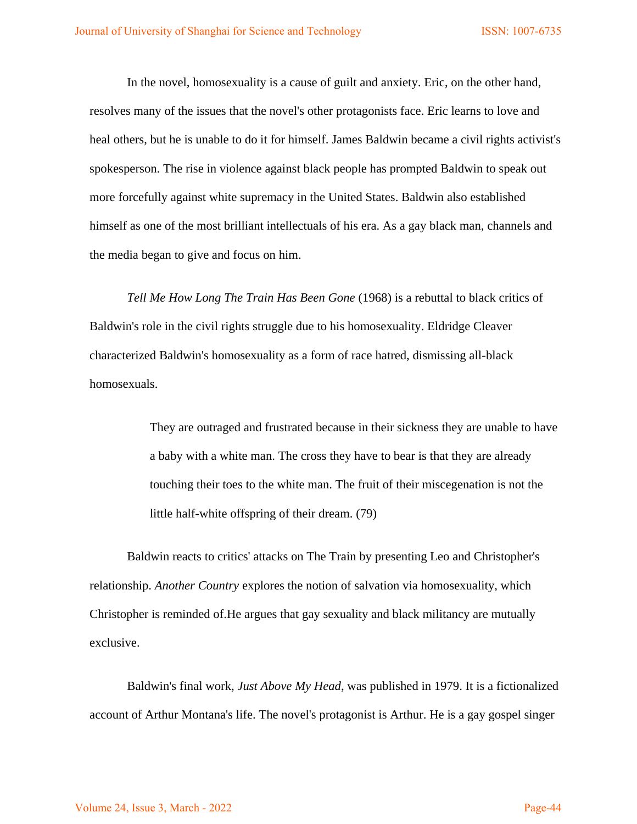In the novel, homosexuality is a cause of guilt and anxiety. Eric, on the other hand, resolves many of the issues that the novel's other protagonists face. Eric learns to love and heal others, but he is unable to do it for himself. James Baldwin became a civil rights activist's spokesperson. The rise in violence against black people has prompted Baldwin to speak out more forcefully against white supremacy in the United States. Baldwin also established himself as one of the most brilliant intellectuals of his era. As a gay black man, channels and the media began to give and focus on him.

*Tell Me How Long The Train Has Been Gone* (1968) is a rebuttal to black critics of Baldwin's role in the civil rights struggle due to his homosexuality. Eldridge Cleaver characterized Baldwin's homosexuality as a form of race hatred, dismissing all-black homosexuals.

> They are outraged and frustrated because in their sickness they are unable to have a baby with a white man. The cross they have to bear is that they are already touching their toes to the white man. The fruit of their miscegenation is not the little half-white offspring of their dream. (79)

Baldwin reacts to critics' attacks on The Train by presenting Leo and Christopher's relationship. *Another Country* explores the notion of salvation via homosexuality, which Christopher is reminded of.He argues that gay sexuality and black militancy are mutually exclusive.

Baldwin's final work, *Just Above My Head*, was published in 1979. It is a fictionalized account of Arthur Montana's life. The novel's protagonist is Arthur. He is a gay gospel singer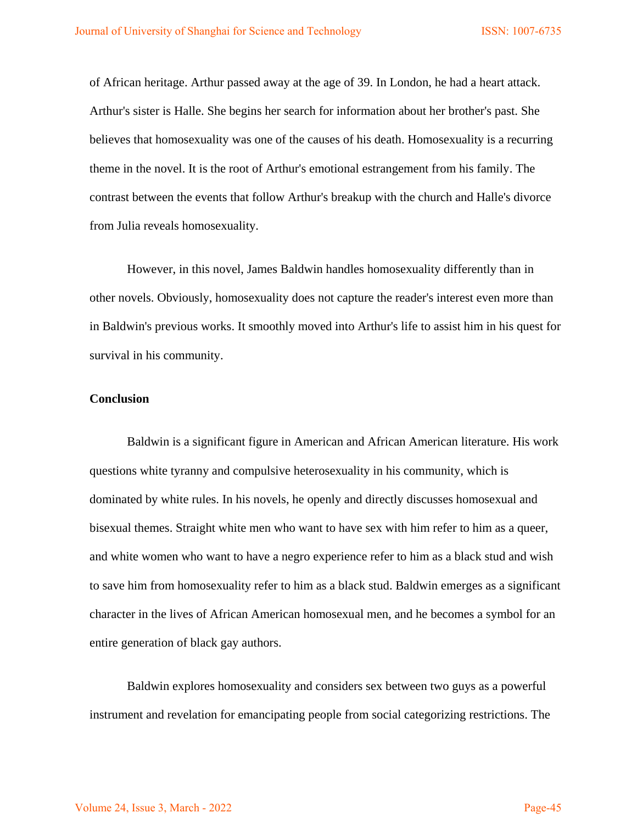of African heritage. Arthur passed away at the age of 39. In London, he had a heart attack. Arthur's sister is Halle. She begins her search for information about her brother's past. She believes that homosexuality was one of the causes of his death. Homosexuality is a recurring theme in the novel. It is the root of Arthur's emotional estrangement from his family. The contrast between the events that follow Arthur's breakup with the church and Halle's divorce from Julia reveals homosexuality.

However, in this novel, James Baldwin handles homosexuality differently than in other novels. Obviously, homosexuality does not capture the reader's interest even more than in Baldwin's previous works. It smoothly moved into Arthur's life to assist him in his quest for survival in his community.

## **Conclusion**

Baldwin is a significant figure in American and African American literature. His work questions white tyranny and compulsive heterosexuality in his community, which is dominated by white rules. In his novels, he openly and directly discusses homosexual and bisexual themes. Straight white men who want to have sex with him refer to him as a queer, and white women who want to have a negro experience refer to him as a black stud and wish to save him from homosexuality refer to him as a black stud. Baldwin emerges as a significant character in the lives of African American homosexual men, and he becomes a symbol for an entire generation of black gay authors.

Baldwin explores homosexuality and considers sex between two guys as a powerful instrument and revelation for emancipating people from social categorizing restrictions. The